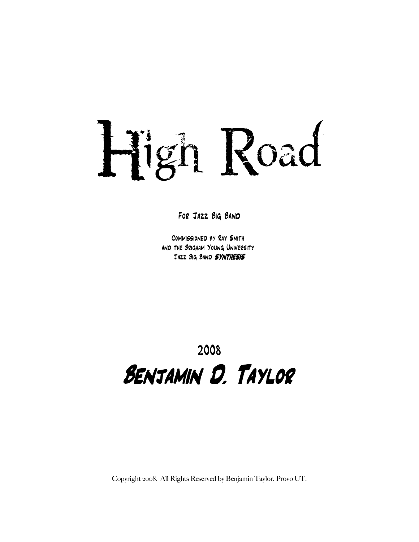# High Road

For Jazz Big Band

Commissioned by Ray Smith and the Brigham Young University Jazz Big Band SYNTHESIS

### 2008 Benjamin D. Taylor

Copyright 2008. All Rights Reserved by Benjamin Taylor, Provo UT.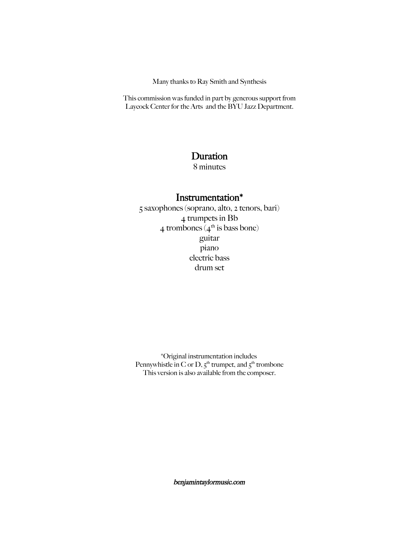Many thanks to Ray Smith and Synthesis

This commission was funded in part by generous support from Laycock Center for the Arts and the BYU Jazz Department.

#### Duration

8 minutes

#### Instrumentation\*

5 saxophones (soprano, alto, 2 tenors, bari) 4 trumpets in Bb 4 trombones  $(4<sup>th</sup>$  is bass bone) guitar piano electric bass drum set

\*Original instrumentation includes Pennywhistle in C or D,  $5^{\text{th}}$  trumpet, and  $5^{\text{th}}$  trombone This version is also available from the composer.

benjamintaylormusic.com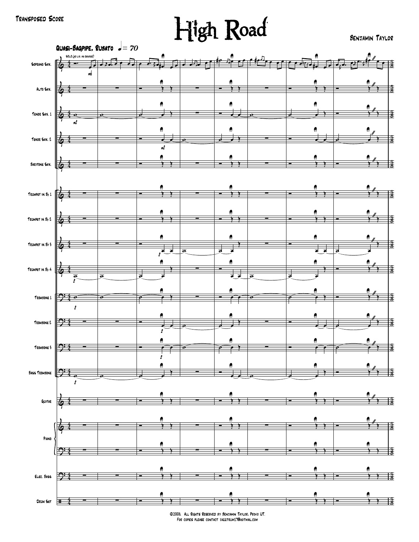Transposed Score

## High Road



©2008. All Rights Reserved by Benjamin Taylor, Provo UT. For copies please contact jazztrum17@hotmail.com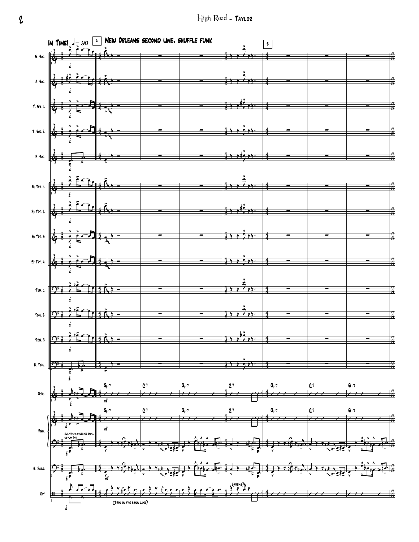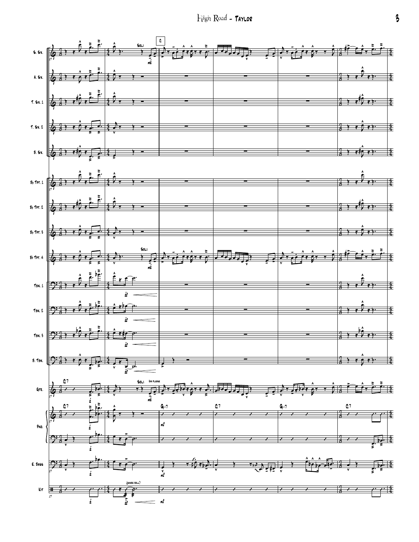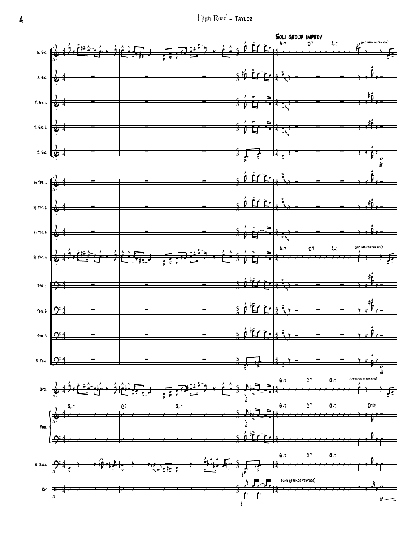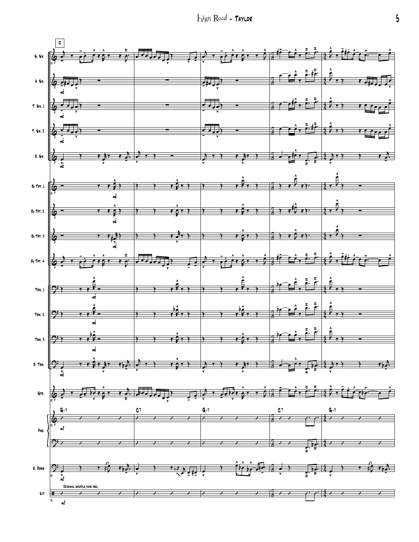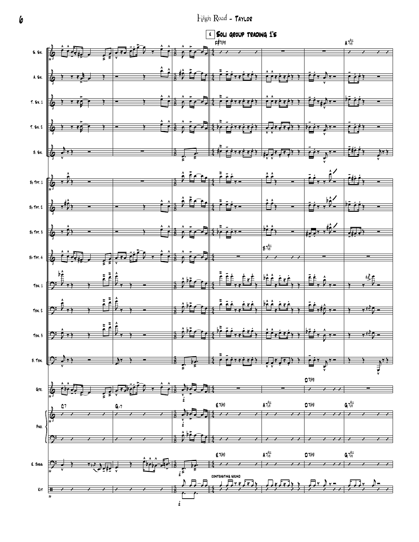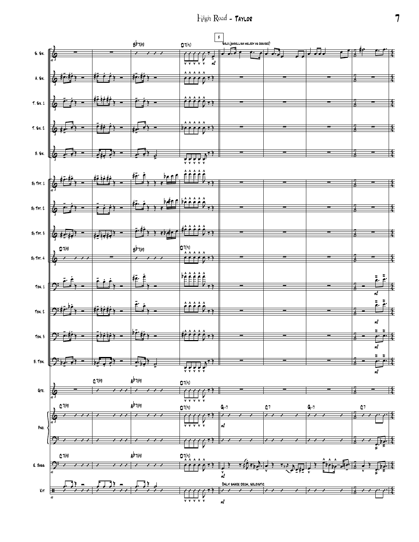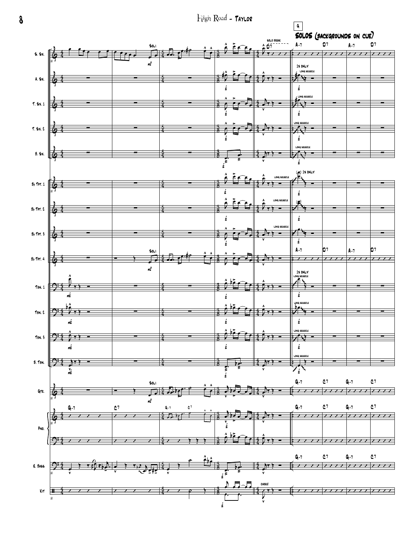High Road - TAYLOR

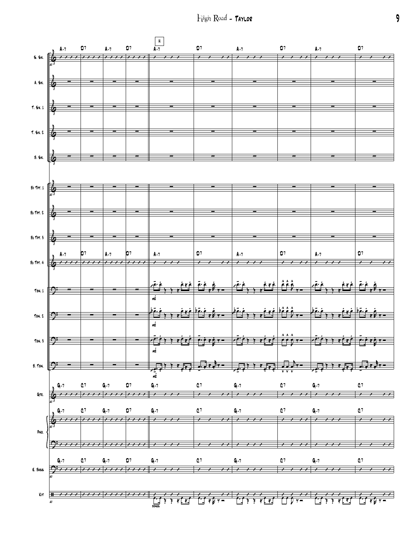

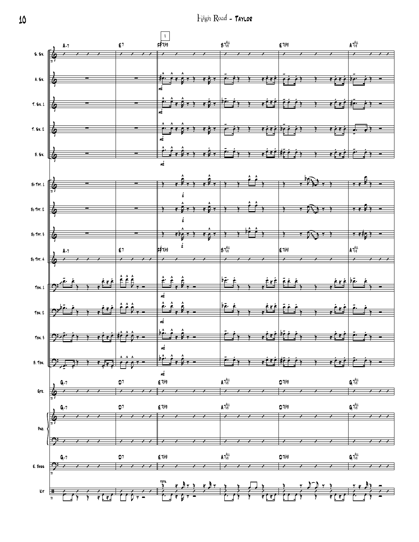High Road - TAYLOR

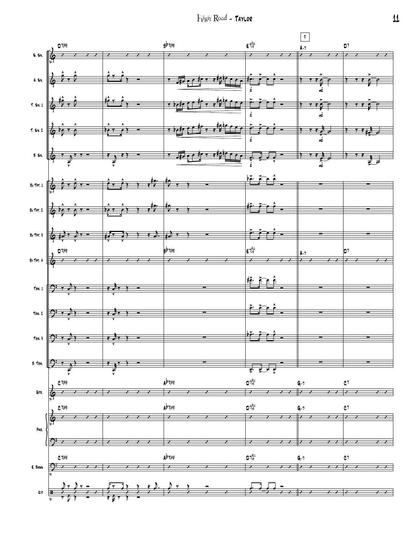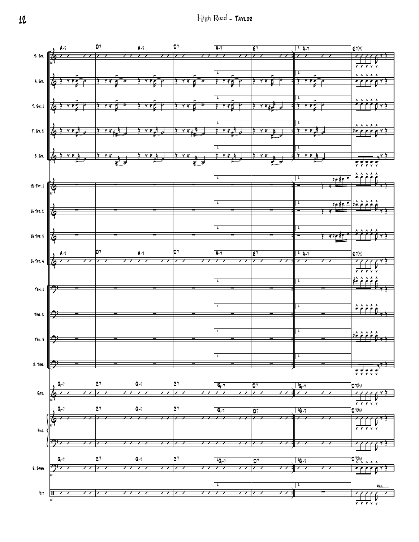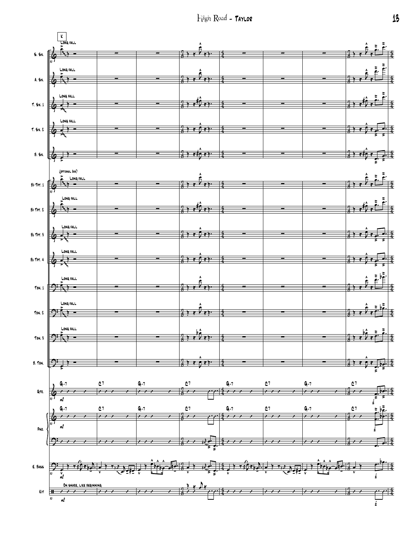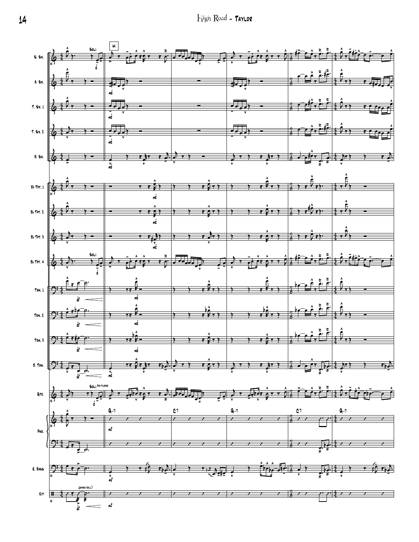![](_page_15_Figure_1.jpeg)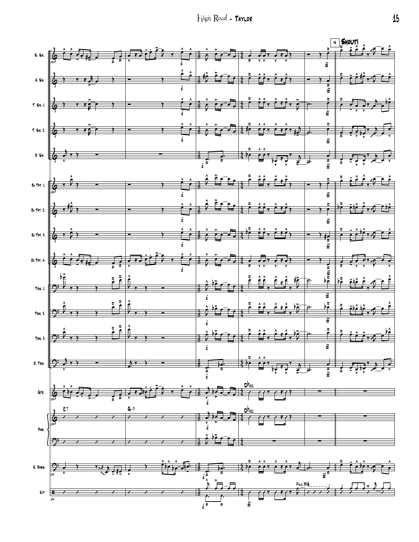![](_page_16_Figure_1.jpeg)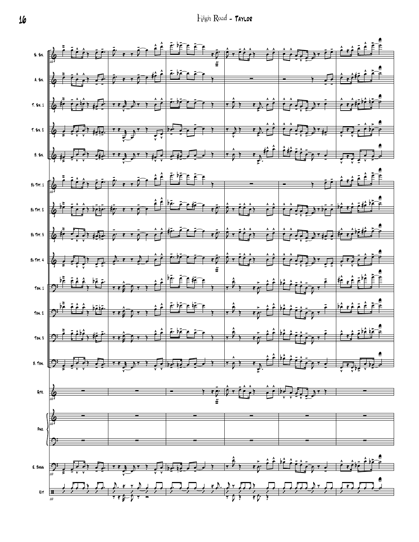![](_page_17_Figure_1.jpeg)